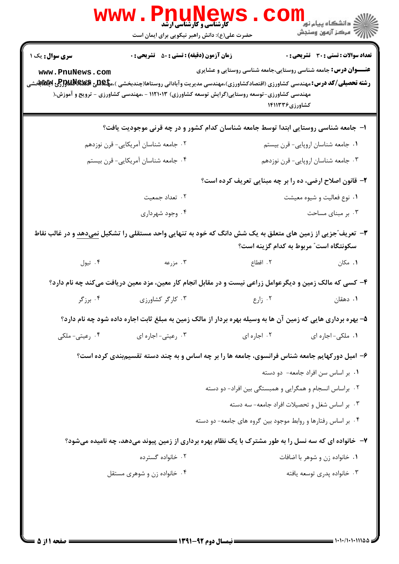|                                   | حضرت علی(ع): دانش راهبر نیکویی برای ایمان است                                                                                                                                                                                                                                                       |                                                                                         | ر دانشگاه پيام نور "<br>ا∛ مرکز آزمون وسنجش   |  |
|-----------------------------------|-----------------------------------------------------------------------------------------------------------------------------------------------------------------------------------------------------------------------------------------------------------------------------------------------------|-----------------------------------------------------------------------------------------|-----------------------------------------------|--|
| سری سوال: یک ۱<br>www.PnuNews.com | <b>زمان آزمون (دقیقه) : تستی : 50 ٪ تشریحی : 0</b><br><b>رشته تحصیلی/کد درس:</b> مهندسی کشاورزی (اقتصادکشاورزی)،مهندسی مدیریت وآبادانی روستاها(چندبخشی )،م <b>پلیدی Bیسکاللهاور(کن اپلاناب</b> خشی<br>مهندسی کشاورزی-توسعه روستایی(گرایش توسعه کشاورزی) ۱۱۲۱۰۱۳ - ،مهندسی کشاورزی - ترویج و آموزش،( | <b>عنـــوان درس:</b> جامعه شناسی روستایی،جامعه شناسی روستایی و عشایری<br>کشاورزی۱۴۱۱۳۳۶ | <b>تعداد سوالات : تستی : 30 ٪ تشریحی : 0</b>  |  |
|                                   | ۱– جامعه شناسی روستایی ابتدا توسط جامعه شناسان کدام کشور و در چه قرنی موجودیت یافت؟                                                                                                                                                                                                                 |                                                                                         |                                               |  |
|                                   | ۰۲ جامعه شناسان آمریکایی- قرن نوزدهم                                                                                                                                                                                                                                                                |                                                                                         | ٠١ جامعه شناسان اروپايي- قرن بيستم            |  |
|                                   | ۰۴ جامعه شناسان آمریکایی- قرن بیستم                                                                                                                                                                                                                                                                 |                                                                                         | ۰۳ جامعه شناسان اروپایی- قرن نوزدهم           |  |
|                                   |                                                                                                                                                                                                                                                                                                     | ۲- قانون اصلاح ارضی، ده را بر چه مبنایی تعریف کرده است؟                                 |                                               |  |
|                                   | ۰۲ تعداد جمعیت                                                                                                                                                                                                                                                                                      |                                                                                         | ۰۱ نوع فعالیت و شیوه معیشت                    |  |
|                                   | ۰۴ وجود شهرداری                                                                                                                                                                                                                                                                                     |                                                                                         | ۰۳ بر مبنای مساحت                             |  |
|                                   | ۳-  تعریف <i>ّج</i> زیی از زمین های متعلق به یک شش دانگ که خود به تنهایی واحد مستقلی را تشکیل <u>نمیدهد</u> و در غالب نقاط                                                                                                                                                                          |                                                                                         | سکونتگاه است" مربوط به کدام گزینه است؟        |  |
| ۰۴ تيول                           | ۰۳ مزرعه                                                                                                                                                                                                                                                                                            | ٢. اقطاع                                                                                | ۰۱ مکان                                       |  |
|                                   | ۴- کسی که مالک زمین و دیگرعوامل زراعی نیست و در مقابل انجام کار معین، مزد معین دریافت میکند چه نام دارد؟                                                                                                                                                                                            |                                                                                         |                                               |  |
| ۰۴ برزگر                          | ۰۳ کارگر کشاورزی                                                                                                                                                                                                                                                                                    | ۰۲ زارع                                                                                 | ۰۱ دهقان                                      |  |
|                                   | ۵– بهره برداری هایی که زمین آن ها به وسیله بهره بردار از مالک زمین به مبلغ ثابت اجاره داده شود چه نام دارد؟                                                                                                                                                                                         |                                                                                         |                                               |  |
| ۰۴ رعیتی- ملکی                    | ۰۳ رعیتی- اجاره ای                                                                                                                                                                                                                                                                                  | ۰۲ اجاره ای                                                                             | ۰۱ ملکی- اجاره ای                             |  |
|                                   | ۶- امیل دورکهایم جامعه شناس فرانسوی، جامعه ها را بر چه اساس و به چند دسته تقسیمبندی کرده است؟                                                                                                                                                                                                       |                                                                                         |                                               |  |
|                                   |                                                                                                                                                                                                                                                                                                     |                                                                                         | ۰۱ بر اساس سن افراد جامعه- دو دسته            |  |
|                                   |                                                                                                                                                                                                                                                                                                     | ۰۲ براساس انسجام و همگرایی و همبستگی بین افراد- دو دسته                                 |                                               |  |
|                                   |                                                                                                                                                                                                                                                                                                     |                                                                                         | ۰۳ بر اساس شغل و تحصیلات افراد جامعه- سه دسته |  |
|                                   |                                                                                                                                                                                                                                                                                                     | ۰۴ بر اساس رفتارها و روابط موجود بین گروه های جامعه- دو دسته                            |                                               |  |
|                                   | ۷- خانواده ای که سه نسل را به طور مشترک با یک نظام بهره برداری از زمین پیوند میدهد، چه نامیده میشود؟                                                                                                                                                                                                |                                                                                         |                                               |  |
|                                   | ۰۲ خانواده گسترده                                                                                                                                                                                                                                                                                   |                                                                                         | ۰۱ خانواده زن و شوهر با اضافات                |  |
|                                   | ۰۴ خانواده زن و شوهری مستقل                                                                                                                                                                                                                                                                         |                                                                                         | ۰۳ خانواده پدری توسعه یافته                   |  |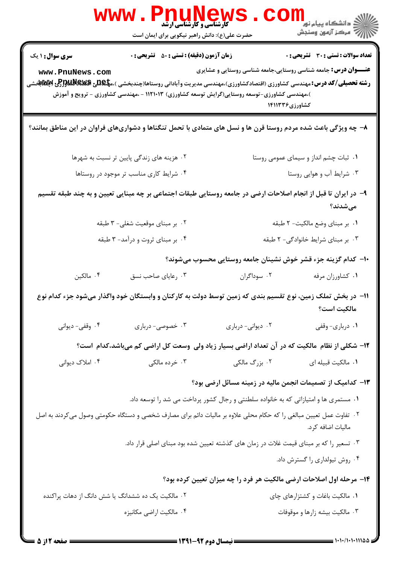|                                                   | WWW.Pnunews<br>حضرت علی(ع): دانش راهبر نیکویی برای ایمان است                                                                                                                                                                                  |                                                                                        | الارد دانشگاه پيام نور<br>ا∭ مرکز آزمون وسنجش |
|---------------------------------------------------|-----------------------------------------------------------------------------------------------------------------------------------------------------------------------------------------------------------------------------------------------|----------------------------------------------------------------------------------------|-----------------------------------------------|
| <b>سری سوال : ۱ یک</b>                            | <b>زمان آزمون (دقیقه) : تستی : 50 ٪ تشریحی : 0</b>                                                                                                                                                                                            | <b>عنـــوان درس:</b> جامعه شناسی روستایی،جامعه شناسی روستایی و عشایری                  | <b>تعداد سوالات : تستی : 30 ٪ تشریحی : 0</b>  |
| www.PnuNews.com                                   | <b>رشته تحصیلی/کد درس:</b> مهندسی کشاورزی (اقتصادکشاورزی)،مهندسی مدیریت وآبادانی روستاها(چندبخشی )،م <b>پگیلی Rپولگالولوپر Rپولات</b> اپقتشی<br>)،مهندسی کشاورزی-توسعه روستایی(گرایش توسعه کشاورزی) ۱۱۲۱۰۱۳ - ،مهندسی کشاورزی - ترویج و آموزش |                                                                                        | کشاورزی۱۴۱۱۳۳۶                                |
|                                                   | ۸– چه ویژگی باعث شده مردم روستا قرن ها و نسل های متمادی با تحمل تنگناها و دشواریهای فراوان در این مناطق بمانند؟                                                                                                                               |                                                                                        |                                               |
|                                                   | ۰۲ هزینه های زندگی پایین تر نسبت به شهرها                                                                                                                                                                                                     | ۰۱ ثبات چشم انداز و سیمای عمومی روستا                                                  |                                               |
|                                                   | ۰۴ شرایط کاری مناسب تر موجود در روستاها                                                                                                                                                                                                       | ۰۳ شرایط آب و هوایی روستا                                                              |                                               |
|                                                   | ۹– در ایران تا قبل از انجام اصلاحات ارضی در جامعه روستایی طبقات اجتماعی بر چه مبنایی تعیین و به چند طبقه تقسیم                                                                                                                                |                                                                                        | مىشدند؟                                       |
|                                                   | ۰۲ بر مبنای موقعیت شغلی- ۳ طبقه                                                                                                                                                                                                               |                                                                                        | ٠١. بر مبناي وضع مالكيت- ٢ طبقه               |
| ۰۴ بر مبنای ثروت و درآمد- ۳ طبقه                  |                                                                                                                                                                                                                                               | ۰۳ بر مبنای شرایط خانوادگی- ۲ طبقه                                                     |                                               |
|                                                   |                                                                                                                                                                                                                                               | +ا– كدام گزینه جزء قشر خوش نشینان جامعه روستایی محسوب میشوند؟                          |                                               |
| ۰۴ مالکین                                         | ۰۳ رعایای صاحب نسق                                                                                                                                                                                                                            | ۰۲ سوداگران                                                                            | ٠١ كشاورزان مرفه                              |
|                                                   | 1۱– در بخش تملک زمین، نوع تقسیم بندی که زمین توسط دولت به کارکنان و وابستگان خود واگذار میشود جزء کدام نوع                                                                                                                                    |                                                                                        | مالكيت است؟                                   |
| ۰۴ وقفي- ديواني                                   | ۰۳ خصوصی- درباری                                                                                                                                                                                                                              | ٠٢ ديواني- درباري                                                                      | ٠١ درباري- وقفي                               |
|                                                   | ۱۲– شکلی از نظام مالکیت که در آن تعداد اراضی بسیار زیاد ولی وسعت کل اراضی کم میباشد،کدام است؟                                                                                                                                                 |                                                                                        |                                               |
| ۰۴ املاک دیوانی                                   | ۰۳ خرده مالکی                                                                                                                                                                                                                                 | ۰۲ بزرگ مالکی                                                                          | ٠١. مالكيت قبيله اي                           |
|                                                   |                                                                                                                                                                                                                                               | ۱۳– کدامیک از تصمیمات انجمن مالیه در زمینه مسائل ارضی بود؟                             |                                               |
|                                                   |                                                                                                                                                                                                                                               | ۰۱ مستمری ها و امتیازاتی که به خانواده سلطنتی و رجال کشور پرداخت می شد را توسعه داد.   |                                               |
|                                                   | ۰۲ تفاوت عمل تعیین مبالغی را که حکام محلی علاوه بر مالیات دائم برای مصارف شخصی و دستگاه حکومتی وصول میکردند به اصل                                                                                                                            |                                                                                        | ماليات اضافه كرد.                             |
|                                                   |                                                                                                                                                                                                                                               | ۰۳ تسعیر را که بر مبنای قیمت غلات در زمان های گذشته تعیین شده بود مبنای اصلی قرار داد. |                                               |
|                                                   |                                                                                                                                                                                                                                               |                                                                                        | ۰۴ روش تیولداری را گسترش داد.                 |
|                                                   |                                                                                                                                                                                                                                               | ۱۴- مرحله اول اصلاحات ارضی مالکیت هر فرد را چه میزان تعیین کرده بود؟                   |                                               |
| ۰۲ مالکیت یک ده ششدانگ یا شش دانگ از دهات پراکنده |                                                                                                                                                                                                                                               |                                                                                        | ۰۱ مالکیت باغات و کشتزارهای چای               |
|                                                   | ۰۴ مالکیت اراضی مکانیزه                                                                                                                                                                                                                       |                                                                                        | ۰۳ مالکیت بیشه زارها و موقوفات                |
| : صفحه 2 از 5                                     | = نیمسال دوم 92-1391 =                                                                                                                                                                                                                        |                                                                                        | $-$ 1.1./1.1.11144                            |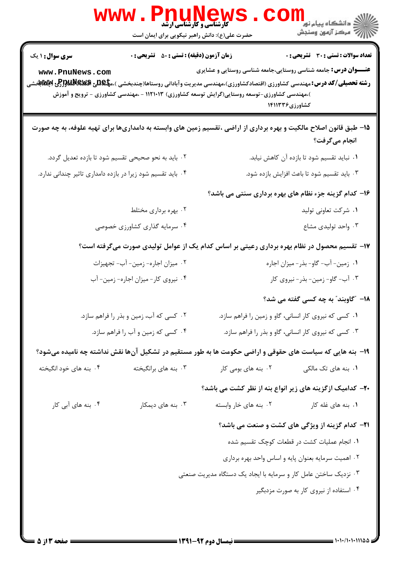| <b>سری سوال : ۱ یک</b>                                                                                                                                       | <b>زمان آزمون (دقیقه) : تستی : 50 ٪ تشریحی : 0</b> |                                                                                                                                                                        | <b>تعداد سوالات : تستی : 30 ٪ تشریحی : 0</b>            |
|--------------------------------------------------------------------------------------------------------------------------------------------------------------|----------------------------------------------------|------------------------------------------------------------------------------------------------------------------------------------------------------------------------|---------------------------------------------------------|
| www.PnuNews.com<br><b>رشته تحصیلی/کد درس:</b> مهندسی کشاورزی (اقتصادکشاورزی)،مهندسی مدیریت وآبادانی روستاها(چندبخشی )،م <b>پگیلی BBینگاپر(Pی اپکلااب</b> خشی |                                                    | <b>عنـــوان درس:</b> جامعه شناسی روستایی،جامعه شناسی روستایی و عشایری<br>)،مهندسی کشاورزی-توسعه روستایی(گرایش توسعه کشاورزی) ۱۱۲۱۰۱۳ - ،مهندسی کشاورزی - ترویج و آموزش | کشاورزی۱۴۱۱۳۳۶                                          |
| 1۵– طبق قانون اصلاح مالکیت و بهره برداری از اراضی ،تقسیم زمین های وابسته به دامداریها برای تهیه علوفه، به چه صورت                                            |                                                    |                                                                                                                                                                        | انجام میگرفت؟                                           |
| ۰۲ باید به نحو صحیحی تقسیم شود تا بازده تعدیل گردد.                                                                                                          |                                                    |                                                                                                                                                                        | ۰۱ نباید تقسیم شود تا بازده آن کاهش نیابد.              |
| ۰۴ باید تقسیم شود زیرا در بازده دامداری تاثیر چندانی ندارد.                                                                                                  |                                                    |                                                                                                                                                                        | ۰۳ باید تقسیم شود تا باعث افزایش بازده شود.             |
|                                                                                                                                                              |                                                    |                                                                                                                                                                        | ۱۶- کدام گزینه جزء نظام های بهره برداری سنتی می باشد؟   |
| ۰۲ بهره برداری مختلط                                                                                                                                         |                                                    |                                                                                                                                                                        | ۰۱ شرکت تعاونی تولید                                    |
| ۰۴ سرمایه گذاری کشاورزی خصوصی                                                                                                                                |                                                    |                                                                                                                                                                        | ۰۳ واحد تولیدی مشاع                                     |
|                                                                                                                                                              |                                                    | ۱۷– تقسیم محصول در نظام بهره برداری رعیتی بر اساس کدام یک از عوامل تولیدی صورت میگرفته است؟                                                                            |                                                         |
| ۰۲ میزان اجاره- زمین- آب- تجهیزات                                                                                                                            |                                                    | ۰۱ زمین- آب- گاو- بذر- میزان اجاره                                                                                                                                     |                                                         |
| ۰۴ نیروی کار-میزان اجاره- زمین- آب                                                                                                                           |                                                    | ۰۳ آب- گاو- زمین- بذر- نیروی کار                                                                                                                                       |                                                         |
|                                                                                                                                                              |                                                    |                                                                                                                                                                        | <b>۱۸</b> – ″گاوبند″ به چه کسی گفته می شد؟              |
|                                                                                                                                                              | ۰۲ کسی که آب، زمین و بذر را فراهم سازد.            |                                                                                                                                                                        | ۰۱ کسی که نیروی کار انسانی، گاو و زمین را فراهم سازد.   |
|                                                                                                                                                              | ۰۴ کسی که زمین و آب را فراهم سازد.                 | ۰۳ کسی که نیروی کار انسانی، گاو و بذر را فراهم سازد.                                                                                                                   |                                                         |
| ۱۹- بنه هایی که سیاست های حقوقی و اراضی حکومت ها به طور مستقیم در تشکیل آنها نقش نداشته چه نامیده میشود؟                                                     |                                                    |                                                                                                                                                                        |                                                         |
| ۰۴ بنه های خود انگیخته                                                                                                                                       | ۰۳ بنه های برانگیخته                               | ۰۲ بنه های بومی کار                                                                                                                                                    | ۰۱ بنه های تک مالک <sub>ی</sub>                         |
|                                                                                                                                                              |                                                    | <b>۲۰</b> - کدامیک ازگزینه های زیر انواع بنه از نظر کشت می باشد؟                                                                                                       |                                                         |
| ۰۴ بنه های آبی کار                                                                                                                                           | ۰۳ بنه های دیمکار                                  | ۰۲ بنه های خار وابسته                                                                                                                                                  | ۰۱ بنه های غله کار                                      |
|                                                                                                                                                              |                                                    |                                                                                                                                                                        | <b>۲۱</b> - کدام گزینه از ویژگی های کشت و صنعت می باشد؟ |
|                                                                                                                                                              |                                                    |                                                                                                                                                                        | ٠١ انجام عمليات كشت در قطعات كوچك تقسيم شده             |
|                                                                                                                                                              |                                                    |                                                                                                                                                                        | ۰۲ اهمیت سرمایه بعنوان پایه و اساس واحد بهره برداری     |
|                                                                                                                                                              |                                                    | ۰۳ نزدیک ساختن عامل کار و سرمایه با ایجاد یک دستگاه مدیریت صنعتی                                                                                                       |                                                         |
|                                                                                                                                                              |                                                    |                                                                                                                                                                        | ۰۴ استفاده از نیروی کار به صورت مزدبگیر                 |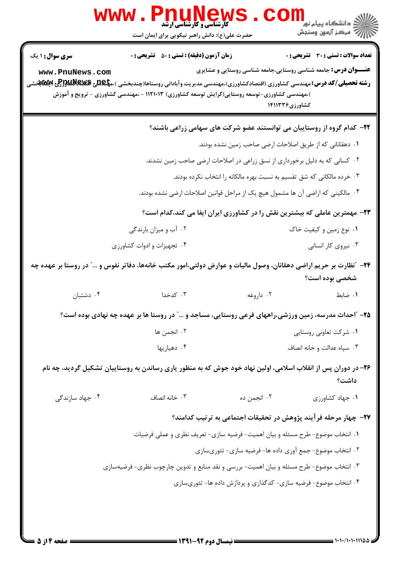|                                           | w w w<br><b>کارشناسی و کارشناسی ارشد</b><br>حضرت علی(ع): دانش راهبر نیکویی برای ایمان است                                                                                                                                                                                                                 |                                                                                                                                                                                                                                                                                               | <mark>≦ دانشکاه پیام نور</mark><br>رِ ۖ مرڪز آزمون وسنڊش      |
|-------------------------------------------|-----------------------------------------------------------------------------------------------------------------------------------------------------------------------------------------------------------------------------------------------------------------------------------------------------------|-----------------------------------------------------------------------------------------------------------------------------------------------------------------------------------------------------------------------------------------------------------------------------------------------|---------------------------------------------------------------|
| <b>سری سوال : ۱ یک</b><br>www.PnuNews.com | <b>زمان آزمون (دقیقه) : تستی : 50 ٪ تشریحی : 0</b><br><b>رشته تحصیلی/کد درس:</b> مهندسی کشاورزی (اقتصادکشاورزی)،مهندسی مدیریت وآبادانی روستاها(چندبخشی )،م <b>پلیدی پیلاپالولوی لاپلاتابوت</b> ی پیلاپات<br>)،مهندسی کشاورزی-توسعه روستایی(گرایش توسعه کشاورزی) ۱۱۲۱۰۱۳ - ،مهندسی کشاورزی - ترویج و آموزش | <b>عنـــوان درس:</b> جامعه شناسی روستایی،جامعه شناسی روستایی و عشایری<br>کشاورزی۱۴۱۱۳۳۶                                                                                                                                                                                                       | تعداد سوالات : تستي : 30 ٪ تشريحي : 0                         |
|                                           | ۰۴ مالکینی که اراضی آن ها مشمول هیچ یک از مراحل قوانین اصلاحات ارضی نشده بودند.<br>۲۳- مهمترین عاملی که بیشترین نقش را در کشاورزی ایران ایفا می کند،کدام است؟<br>۰۲ آب و میزان بارندگی                                                                                                                    | ۲۲- کدام گروه از روستاییان می توانستند عضو شرکت های سهامی زراعی باشند؟<br>۰۱ دهقانانی که از طریق اصلاحات ارضی صاحب زمین نشده بودند.<br>۰۲ کسانی که به دلیل برخورداری از نسق زراعی در اصلاحات ارضی صاحب زمین نشدند.<br>۰۳ خرده مالکانی که شق تقسیم به نسبت بهره مالکانه را انتخاب نکرده بودند. | ۰۱ نوع زمین و کیفیت خاک                                       |
| ۰۴ دشتبان                                 | ۰۴ تجهیزات و ادوات کشاورزی<br>۲۴- "نظارت بر حریم اراضی دهقانان، وصول مالیات و عوارض دولتی،امور مکتب خانهها، دفاتر نفوس و …" در روستا بر عهده چه<br>۰۳ کدخدا                                                                                                                                               | ۰۲ داروغه                                                                                                                                                                                                                                                                                     | ۰۳ نیروی کار انسانی<br>شخصی بوده است؟<br>٠١ ضابط              |
|                                           | ۲۵– "احداث مدرسه، زمین ورزشی،راههای فرعی روستایی، مساجد و …" در روستا ها بر عهده چه نهادی بوده است؟<br>٢. انجمن ها<br>۰۴ دهياريها<br>۲۶– در دوران پس از انقلاب اسلامی، اولین نهاد خود جوش که به منظور یاری رساندن به روستاییان تشکیل گردید، چه نام                                                        |                                                                                                                                                                                                                                                                                               | ۰۱ شرکت تعاونی روستایی<br>۰۳ سپاه عدالت و خانه انصاف<br>داشت؟ |
| ۰۴ جهاد سازندگی                           | ۰۳ خانه انصاف<br>١. انتخاب موضوع- طرح مسئله و بيان اهميت- فرضيه سازي- تعريف نظري و عملي فرضيات<br>۰۳ انتخاب موضوع- طرح مسئله و بیان اهمیت- بررسی و نقد منابع و تدوین چارچوب نظری- فرضیهسازی                                                                                                               | ۰۲ انجمن ده<br>۲۷– چهار مرحله فرآیند پژوهش در تحقیقات اجتماعی به ترتیب کدامند؟<br>۰۲ انتخاب موضوع- جمع آوري داده ها- فرضيه سازي- تئوريسازي<br>۰۴ انتخاب موضوع- فرضیه سازی- کدگذاری و پردازش داده ها- تئوریسازی                                                                                | ٠١. جهاد كشاورزى                                              |